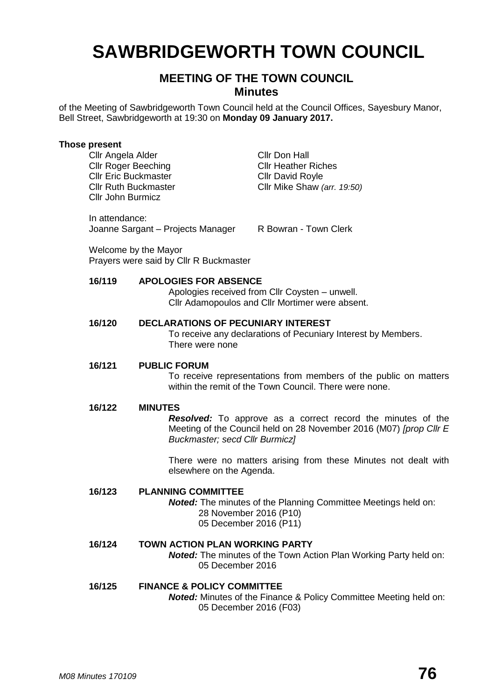# **SAWBRIDGEWORTH TOWN COUNCIL**

## **MEETING OF THE TOWN COUNCIL Minutes**

of the Meeting of Sawbridgeworth Town Council held at the Council Offices, Sayesbury Manor, Bell Street, Sawbridgeworth at 19:30 on **Monday 09 January 2017.**

## **Those present**

Cllr Angela Alder Cllr Don Hall Cllr Roger Beeching Cllr Heather Riches Cllr Eric Buckmaster Cllr David Royle Cllr John Burmicz

Cllr Ruth Buckmaster Cllr Mike Shaw *(arr. 19:50)*

In attendance: Joanne Sargant – Projects Manager R Bowran - Town Clerk

Welcome by the Mayor Prayers were said by Cllr R Buckmaster

## **16/119 APOLOGIES FOR ABSENCE**

Apologies received from Cllr Coysten – unwell. Cllr Adamopoulos and Cllr Mortimer were absent.

## **16/120 DECLARATIONS OF PECUNIARY INTEREST**

To receive any declarations of Pecuniary Interest by Members. There were none

## **16/121 PUBLIC FORUM**

To receive representations from members of the public on matters within the remit of the Town Council. There were none.

## **16/122 MINUTES**

*Resolved:* To approve as a correct record the minutes of the Meeting of the Council held on 28 November 2016 (M07) *[prop Cllr E Buckmaster; secd Cllr Burmicz]*

There were no matters arising from these Minutes not dealt with elsewhere on the Agenda.

## **16/123 PLANNING COMMITTEE**

*Noted:* The minutes of the Planning Committee Meetings held on: 28 November 2016 (P10) 05 December 2016 (P11)

#### **16/124 TOWN ACTION PLAN WORKING PARTY** *Noted:* The minutes of the Town Action Plan Working Party held on: 05 December 2016

## **16/125 FINANCE & POLICY COMMITTEE** *Noted:* Minutes of the Finance & Policy Committee Meeting held on:

05 December 2016 (F03)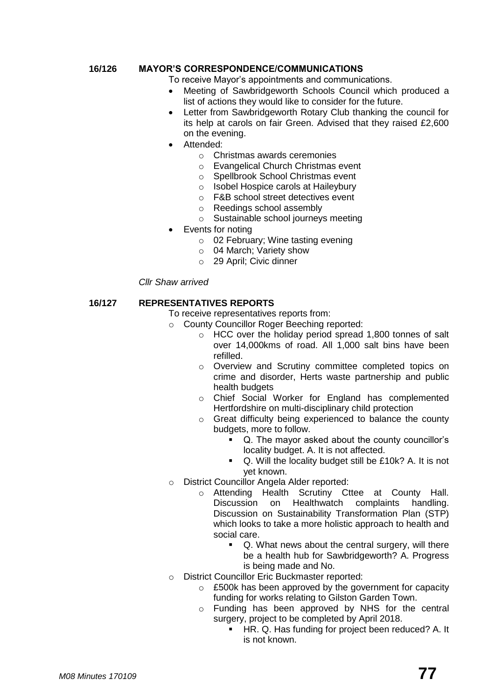## **16/126 MAYOR'S CORRESPONDENCE/COMMUNICATIONS**

To receive Mayor's appointments and communications.

- Meeting of Sawbridgeworth Schools Council which produced a list of actions they would like to consider for the future.
- Letter from Sawbridgeworth Rotary Club thanking the council for its help at carols on fair Green. Advised that they raised £2,600 on the evening.
- Attended:
	- o Christmas awards ceremonies
	- o Evangelical Church Christmas event
	- o Spellbrook School Christmas event
	- o Isobel Hospice carols at Haileybury
	- o F&B school street detectives event
	- o Reedings school assembly
	- o Sustainable school journeys meeting
- Events for noting
	- o 02 February; Wine tasting evening
	- o 04 March; Variety show
	- o 29 April; Civic dinner

## *Cllr Shaw arrived*

## **16/127 REPRESENTATIVES REPORTS**

- To receive representatives reports from:
- o County Councillor Roger Beeching reported:
	- o HCC over the holiday period spread 1,800 tonnes of salt over 14,000kms of road. All 1,000 salt bins have been refilled.
	- o Overview and Scrutiny committee completed topics on crime and disorder, Herts waste partnership and public health budgets
	- o Chief Social Worker for England has complemented Hertfordshire on multi-disciplinary child protection
	- o Great difficulty being experienced to balance the county budgets, more to follow.
		- Q. The mayor asked about the county councillor's locality budget. A. It is not affected.
		- Q. Will the locality budget still be £10k? A. It is not yet known.
- o District Councillor Angela Alder reported:
	- o Attending Health Scrutiny Cttee at County Hall. Discussion on Healthwatch complaints handling. Discussion on Sustainability Transformation Plan (STP) which looks to take a more holistic approach to health and social care.
		- Q. What news about the central surgery, will there be a health hub for Sawbridgeworth? A. Progress is being made and No.
- o District Councillor Eric Buckmaster reported:
	- o £500k has been approved by the government for capacity funding for works relating to Gilston Garden Town.
	- o Funding has been approved by NHS for the central surgery, project to be completed by April 2018.
		- **HR. Q. Has funding for project been reduced? A. It** is not known.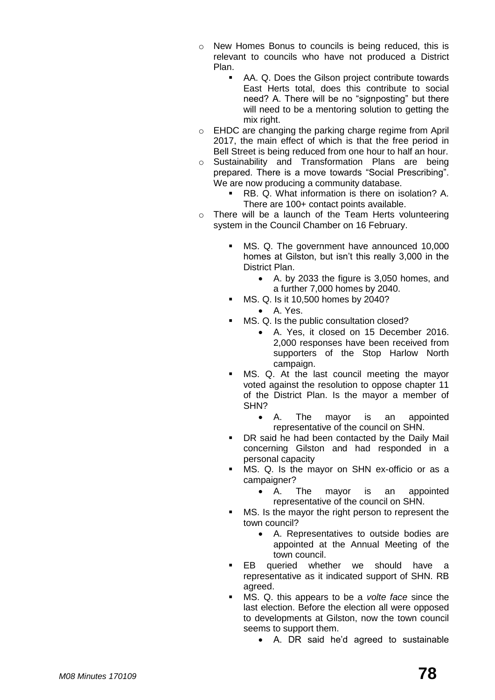- o New Homes Bonus to councils is being reduced, this is relevant to councils who have not produced a District Plan.
	- AA. Q. Does the Gilson project contribute towards East Herts total, does this contribute to social need? A. There will be no "signposting" but there will need to be a mentoring solution to getting the mix right.
- o EHDC are changing the parking charge regime from April 2017, the main effect of which is that the free period in Bell Street is being reduced from one hour to half an hour.
- o Sustainability and Transformation Plans are being prepared. There is a move towards "Social Prescribing". We are now producing a community database.
	- RB. Q. What information is there on isolation? A. There are 100+ contact points available.
- o There will be a launch of the Team Herts volunteering system in the Council Chamber on 16 February.
	- MS. Q. The government have announced 10,000 homes at Gilston, but isn't this really 3,000 in the District Plan.
		- A. by 2033 the figure is 3,050 homes, and a further 7,000 homes by 2040.
	- MS. Q. Is it 10,500 homes by 2040?
		- A. Yes.
	- MS. Q. Is the public consultation closed?
		- A. Yes, it closed on 15 December 2016. 2,000 responses have been received from supporters of the Stop Harlow North campaign.
	- MS. Q. At the last council meeting the mayor voted against the resolution to oppose chapter 11 of the District Plan. Is the mayor a member of SHN?
		- A. The mayor is an appointed representative of the council on SHN.
	- DR said he had been contacted by the Daily Mail concerning Gilston and had responded in a personal capacity
	- MS. Q. Is the mayor on SHN ex-officio or as a campaigner?
		- A. The mayor is an appointed representative of the council on SHN.
	- MS. Is the mayor the right person to represent the town council?
		- A. Representatives to outside bodies are appointed at the Annual Meeting of the town council.
	- EB queried whether we should have a representative as it indicated support of SHN. RB agreed.
	- MS. Q. this appears to be a *volte face* since the last election. Before the election all were opposed to developments at Gilston, now the town council seems to support them.
		- A. DR said he'd agreed to sustainable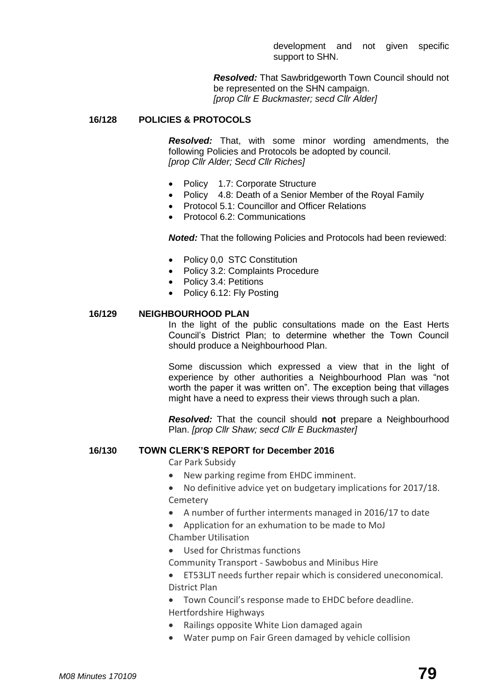development and not given specific support to SHN.

*Resolved:* That Sawbridgeworth Town Council should not be represented on the SHN campaign. *[prop Cllr E Buckmaster; secd Cllr Alder]*

## **16/128 POLICIES & PROTOCOLS**

*Resolved:* That, with some minor wording amendments, the following Policies and Protocols be adopted by council. *[prop Cllr Alder; Secd Cllr Riches]*

- Policy 1.7: Corporate Structure
- Policy 4.8: Death of a Senior Member of the Royal Family
- Protocol 5.1: Councillor and Officer Relations
- Protocol 6.2: Communications

*Noted:* That the following Policies and Protocols had been reviewed:

- Policy 0,0 STC Constitution
- Policy 3.2: Complaints Procedure
- Policy 3.4: Petitions
- Policy 6.12: Fly Posting

## **16/129 NEIGHBOURHOOD PLAN**

In the light of the public consultations made on the East Herts Council's District Plan; to determine whether the Town Council should produce a Neighbourhood Plan.

Some discussion which expressed a view that in the light of experience by other authorities a Neighbourhood Plan was "not worth the paper it was written on". The exception being that villages might have a need to express their views through such a plan.

*Resolved:* That the council should **not** prepare a Neighbourhood Plan. *[prop Cllr Shaw; secd Cllr E Buckmaster]*

## **16/130 TOWN CLERK'S REPORT for December 2016**

Car Park Subsidy

- New parking regime from EHDC imminent.
- No definitive advice yet on budgetary implications for 2017/18. [Cemetery](http://www.sawbridgeworth-tc.gov.uk/town-information/town-council-services/cemetery)
- A number of further interments managed in 2016/17 to date
- Application for an exhumation to be made to MoJ
- Chamber Utilisation
- Used for Christmas functions

Community Transport - [Sawbobus](http://www.sawbridgeworth-tc.gov.uk/town-information/town-council-services/sawbobus) and [Minibus Hire](http://www.sawbridgeworth-tc.gov.uk/town-information/town-council-services/minibus-hire)

- ET53LJT needs further repair which is considered uneconomical. District Plan
- Town Council's response made to EHDC before deadline. Hertfordshire Highways
- Railings opposite White Lion damaged again
- Water pump on Fair Green damaged by vehicle collision